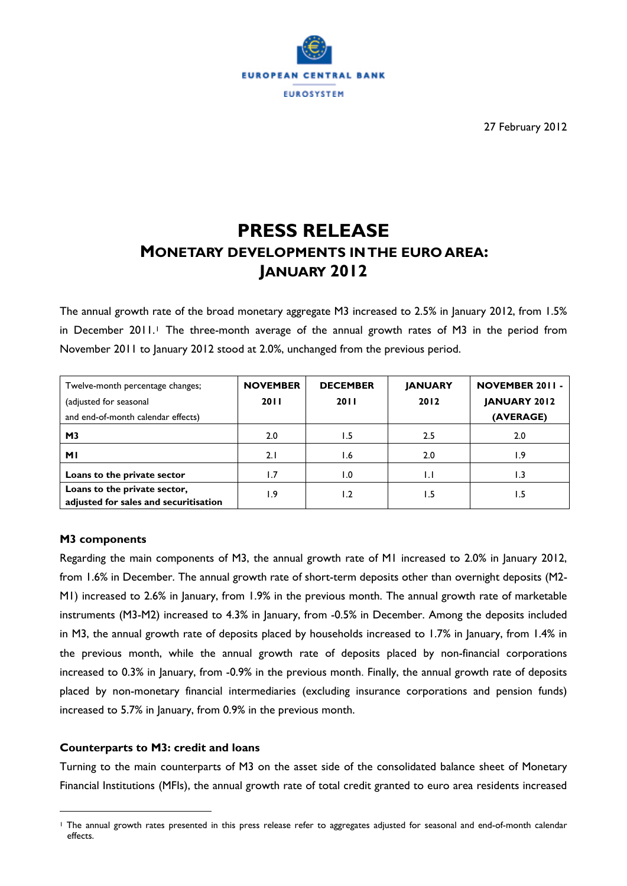

27 February 2012

# **PRESS RELEASE MONETARY DEVELOPMENTS IN THE EURO AREA: JANUARY 2012**

The annual growth rate of the broad monetary aggregate M3 increased to 2.5% in January 2012, from 1.5% in December 20[1](#page-0-0)1.<sup>1</sup> The three-month average of the annual growth rates of M3 in the period from November 2011 to January 2012 stood at 2.0%, unchanged from the previous period.

| Twelve-month percentage changes;                                      | <b>NOVEMBER</b> | <b>DECEMBER</b> | <b>JANUARY</b> | <b>NOVEMBER 2011 -</b> |  |  |
|-----------------------------------------------------------------------|-----------------|-----------------|----------------|------------------------|--|--|
| (adjusted for seasonal                                                | 2011            | <b>2011</b>     | 2012           | <b>JANUARY 2012</b>    |  |  |
| and end-of-month calendar effects)                                    |                 |                 |                | (AVERAGE)              |  |  |
| M <sub>3</sub>                                                        | 2.0             | 1.5             | 2.5            | 2.0                    |  |  |
| ΜI                                                                    | 2.1             | 1.6             | 2.0            | 9. ا                   |  |  |
| Loans to the private sector                                           | 1.7             | 1.0             | $\mathsf{L}$   | I .3                   |  |  |
| Loans to the private sector,<br>adjusted for sales and securitisation | 9.،             | 1.2             | ۱.5            | ۱.5                    |  |  |

# **M3 components**

 $\overline{a}$ 

Regarding the main components of M3, the annual growth rate of M1 increased to 2.0% in January 2012, from 1.6% in December. The annual growth rate of short-term deposits other than overnight deposits (M2- M1) increased to 2.6% in January, from 1.9% in the previous month. The annual growth rate of marketable instruments (M3-M2) increased to 4.3% in January, from -0.5% in December. Among the deposits included in M3, the annual growth rate of deposits placed by households increased to 1.7% in January, from 1.4% in the previous month, while the annual growth rate of deposits placed by non-financial corporations increased to 0.3% in January, from -0.9% in the previous month. Finally, the annual growth rate of deposits placed by non-monetary financial intermediaries (excluding insurance corporations and pension funds) increased to 5.7% in January, from 0.9% in the previous month.

## **Counterparts to M3: credit and loans**

Turning to the main counterparts of M3 on the asset side of the consolidated balance sheet of Monetary Financial Institutions (MFIs), the annual growth rate of total credit granted to euro area residents increased

<span id="page-0-0"></span><sup>1</sup> The annual growth rates presented in this press release refer to aggregates adjusted for seasonal and end-of-month calendar effects.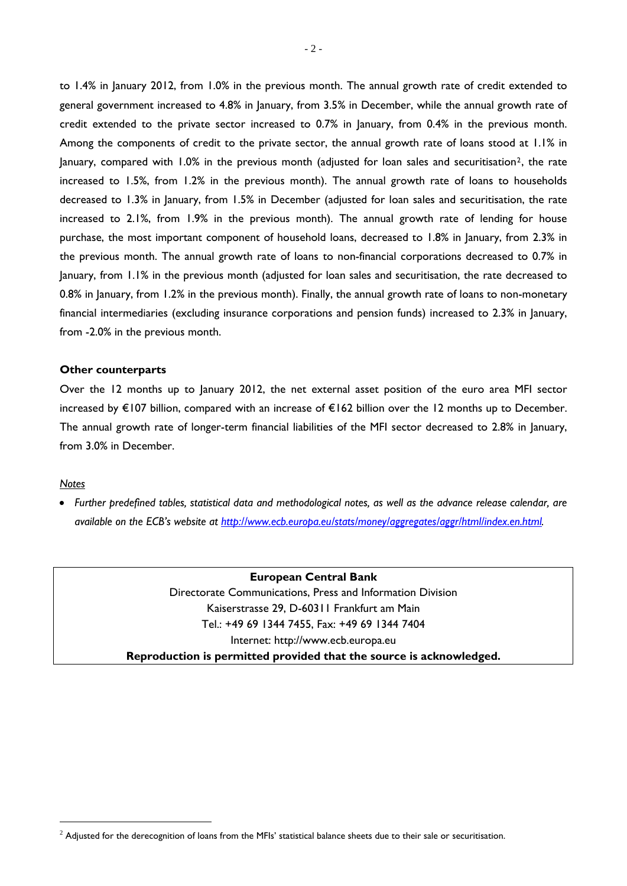to 1.4% in January 2012, from 1.0% in the previous month. The annual growth rate of credit extended to general government increased to 4.8% in January, from 3.5% in December, while the annual growth rate of credit extended to the private sector increased to 0.7% in January, from 0.4% in the previous month. Among the components of credit to the private sector, the annual growth rate of loans stood at 1.1% in January, compared with  $1.0\%$  in the previous month (adjusted for loan sales and securitisation<sup>[2](#page-1-0)</sup>, the rate increased to 1.5%, from 1.2% in the previous month). The annual growth rate of loans to households decreased to 1.3% in January, from 1.5% in December (adjusted for loan sales and securitisation, the rate increased to 2.1%, from 1.9% in the previous month). The annual growth rate of lending for house purchase, the most important component of household loans, decreased to 1.8% in January, from 2.3% in the previous month. The annual growth rate of loans to non-financial corporations decreased to 0.7% in January, from 1.1% in the previous month (adjusted for loan sales and securitisation, the rate decreased to 0.8% in January, from 1.2% in the previous month). Finally, the annual growth rate of loans to non-monetary financial intermediaries (excluding insurance corporations and pension funds) increased to 2.3% in January, from -2.0% in the previous month.

## **Other counterparts**

Over the 12 months up to January 2012, the net external asset position of the euro area MFI sector increased by €107 billion, compared with an increase of €162 billion over the 12 months up to December. The annual growth rate of longer-term financial liabilities of the MFI sector decreased to 2.8% in January, from 3.0% in December.

## *Notes*

 $\overline{a}$ 

 *Further predefined tables, statistical data and methodological notes, as well as the advance release calendar, are available on the ECB's website at [http://www.ecb.europa.eu/stats/money/aggregates/aggr/html/index.en.html.](http://www.ecb.europa.eu/stats/money/aggregates/aggr/html/index.en.html)*

> **European Central Bank**  Directorate Communications, Press and Information Division Kaiserstrasse 29, D-60311 Frankfurt am Main Tel.: +49 69 1344 7455, Fax: +49 69 1344 7404 Internet: http://www.ecb.europa.eu **Reproduction is permitted provided that the source is acknowledged.**

<span id="page-1-0"></span> $^2$  Adjusted for the derecognition of loans from the MFIs' statistical balance sheets due to their sale or securitisation.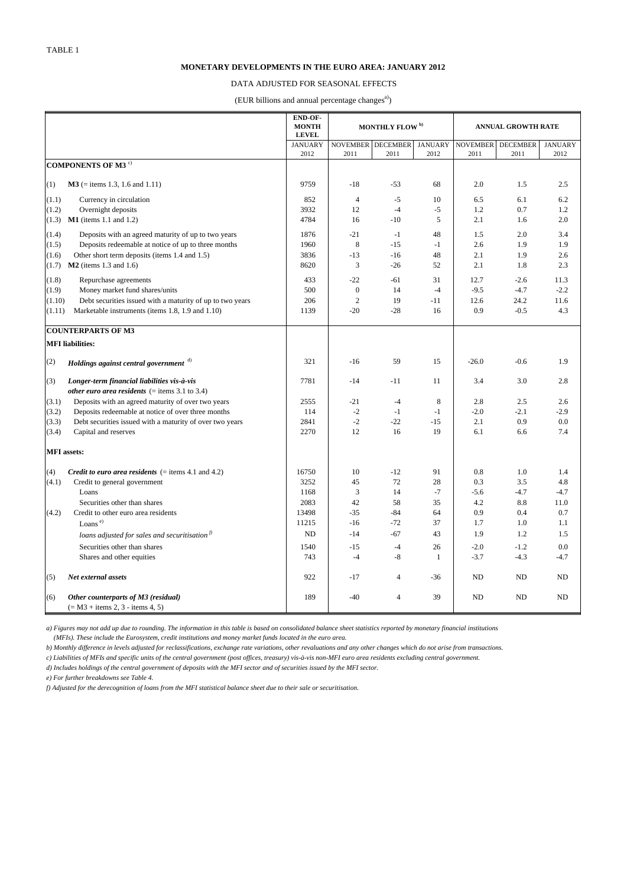#### **MONETARY DEVELOPMENTS IN THE EURO AREA: JANUARY 2012**

### DATA ADJUSTED FOR SEASONAL EFFECTS

(EUR billions and annual percentage changes<sup>a)</sup>)

|                         |                                                                           | END-OF-<br><b>MONTH</b><br><b>LEVEL</b> | <b>MONTHLY FLOW</b> <sup>b)</sup> |                         | <b>ANNUAL GROWTH RATE</b> |            |                           |                        |
|-------------------------|---------------------------------------------------------------------------|-----------------------------------------|-----------------------------------|-------------------------|---------------------------|------------|---------------------------|------------------------|
|                         |                                                                           | <b>JANUARY</b>                          | <b>NOVEMBER</b>                   | <b>DECEMBER</b><br>2011 | <b>JANUARY</b><br>2012    | 2011       | NOVEMBER DECEMBER<br>2011 | <b>JANUARY</b><br>2012 |
|                         | <b>COMPONENTS OF M3 <sup>c)</sup></b>                                     | 2012                                    | 2011                              |                         |                           |            |                           |                        |
| (1)                     | $M3$ (= items 1.3, 1.6 and 1.11)                                          | 9759                                    | $-18$                             | $-53$                   | 68                        | 2.0        | 1.5                       | 2.5                    |
| (1.1)                   | Currency in circulation                                                   | 852                                     | $\overline{4}$                    | $-5$                    | 10                        | 6.5        | 6.1                       | 6.2                    |
| (1.2)                   | Overnight deposits                                                        | 3932                                    | 12                                | $-4$                    | $-5$                      | 1.2        | 0.7                       | 1.2                    |
|                         | $(1.3)$ <b>M1</b> (items 1.1 and 1.2)                                     | 4784                                    | 16                                | $-10$                   | 5                         | 2.1        | 1.6                       | 2.0                    |
| (1.4)                   | Deposits with an agreed maturity of up to two years                       | 1876                                    | $-21$                             | $-1$                    | 48                        | 1.5        | 2.0                       | 3.4                    |
| (1.5)                   | Deposits redeemable at notice of up to three months                       | 1960                                    | 8                                 | $-15$                   | $-1$                      | 2.6        | 1.9                       | 1.9                    |
| (1.6)                   | Other short term deposits (items 1.4 and 1.5)                             | 3836                                    | $-13$                             | $-16$                   | 48                        | 2.1        | 1.9                       | 2.6                    |
| (1.7)                   | $M2$ (items 1.3 and 1.6)                                                  | 8620                                    | 3                                 | $-26$                   | 52                        | 2.1        | 1.8                       | 2.3                    |
| (1.8)                   | Repurchase agreements                                                     | 433                                     | $-22$                             | -61                     | 31                        | 12.7       | $-2.6$                    | 11.3                   |
| (1.9)                   | Money market fund shares/units                                            | 500                                     | $\boldsymbol{0}$                  | 14                      | $-4$                      | $-9.5$     | $-4.7$                    | $-2.2$                 |
| (1.10)                  | Debt securities issued with a maturity of up to two years                 | 206                                     | $\overline{2}$                    | 19                      | $-11$                     | 12.6       | 24.2                      | 11.6                   |
| (1.11)                  | Marketable instruments (items 1.8, 1.9 and 1.10)                          | 1139                                    | $-20$                             | $-28$                   | 16                        | 0.9        | $-0.5$                    | 4.3                    |
|                         | <b>COUNTERPARTS OF M3</b>                                                 |                                         |                                   |                         |                           |            |                           |                        |
| <b>MFI</b> liabilities: |                                                                           |                                         |                                   |                         |                           |            |                           |                        |
| (2)                     | Holdings against central government <sup>d)</sup>                         | 321                                     | $-16$                             | 59                      | 15                        | $-26.0$    | $-0.6$                    | 1.9                    |
| (3)                     | Longer-term financial liabilities vis-à-vis                               | 7781                                    | $-14$                             | $-11$                   | 11                        | 3.4        | 3.0                       | 2.8                    |
|                         | <i>other euro area residents</i> $( =$ items 3.1 to 3.4)                  |                                         |                                   |                         |                           |            |                           |                        |
| (3.1)                   | Deposits with an agreed maturity of over two years                        | 2555<br>114                             | $-21$<br>$-2$                     | $-4$                    | 8                         | 2.8        | 2.5                       | 2.6<br>$-2.9$          |
| (3.2)                   | Deposits redeemable at notice of over three months                        |                                         | $-2$                              | $-1$<br>$-22$           | $-1$                      | $-2.0$     | $-2.1$                    |                        |
| (3.3)                   | Debt securities issued with a maturity of over two years                  | 2841<br>2270                            | 12                                | 16                      | $-15$<br>19               | 2.1<br>6.1 | 0.9<br>6.6                | 0.0<br>7.4             |
| (3.4)                   | Capital and reserves                                                      |                                         |                                   |                         |                           |            |                           |                        |
| <b>MFI</b> assets:      |                                                                           |                                         |                                   |                         |                           |            |                           |                        |
| (4)                     | <i>Credit to euro area residents</i> $( =$ items 4.1 and 4.2)             | 16750                                   | 10                                | $-12$                   | 91                        | 0.8        | 1.0                       | 1.4                    |
| (4.1)                   | Credit to general government                                              | 3252                                    | 45                                | 72                      | 28                        | 0.3        | 3.5                       | 4.8                    |
|                         | Loans                                                                     | 1168                                    | 3                                 | 14                      | $-7$                      | $-5.6$     | $-4.7$                    | $-4.7$                 |
|                         | Securities other than shares                                              | 2083                                    | 42                                | 58                      | 35                        | 4.2        | 8.8                       | 11.0                   |
| (4.2)                   | Credit to other euro area residents                                       | 13498                                   | $-35$                             | $-84$                   | 64                        | 0.9        | 0.4                       | 0.7                    |
|                         | Loans <sup>e)</sup>                                                       | 11215                                   | $-16$                             | $-72$                   | 37                        | 1.7        | 1.0                       | 1.1                    |
|                         | loans adjusted for sales and securitisation <sup>1)</sup>                 | <b>ND</b>                               | $-14$                             | $-67$                   | 43                        | 1.9        | 1.2                       | 1.5                    |
|                         | Securities other than shares                                              | 1540                                    | $-15$                             | $-4$                    | 26                        | $-2.0$     | $-1.2$                    | 0.0                    |
|                         | Shares and other equities                                                 | 743                                     | $-4$                              | $-8$                    | $\mathbf{1}$              | $-3.7$     | $-4.3$                    | $-4.7$                 |
| (5)                     | Net external assets                                                       | 922                                     | $-17$                             | $\overline{4}$          | $-36$                     | <b>ND</b>  | ND                        | ND                     |
| (6)                     | Other counterparts of M3 (residual)<br>$(= M3 + items 2, 3 - items 4, 5)$ | 189                                     | $-40$                             | $\overline{4}$          | 39                        | <b>ND</b>  | <b>ND</b>                 | <b>ND</b>              |

 *(MFIs). These include the Eurosystem, credit institutions and money market funds located in the euro area. a) Figures may not add up due to rounding. The information in this table is based on consolidated balance sheet statistics reported by monetary financial institutions*

*b) Monthly difference in levels adjusted for reclassifications, exchange rate variations, other revaluations and any other changes which do not arise from transactions.*

*c) Liabilities of MFIs and specific units of the central government (post offices, treasury) vis-à-vis non-MFI euro area residents excluding central government.*

*d) Includes holdings of the central government of deposits with the MFI sector and of securities issued by the MFI sector.*

*e) For further breakdowns see Table 4.*

*f) Adjusted for the derecognition of loans from the MFI statistical balance sheet due to their sale or securitisation.*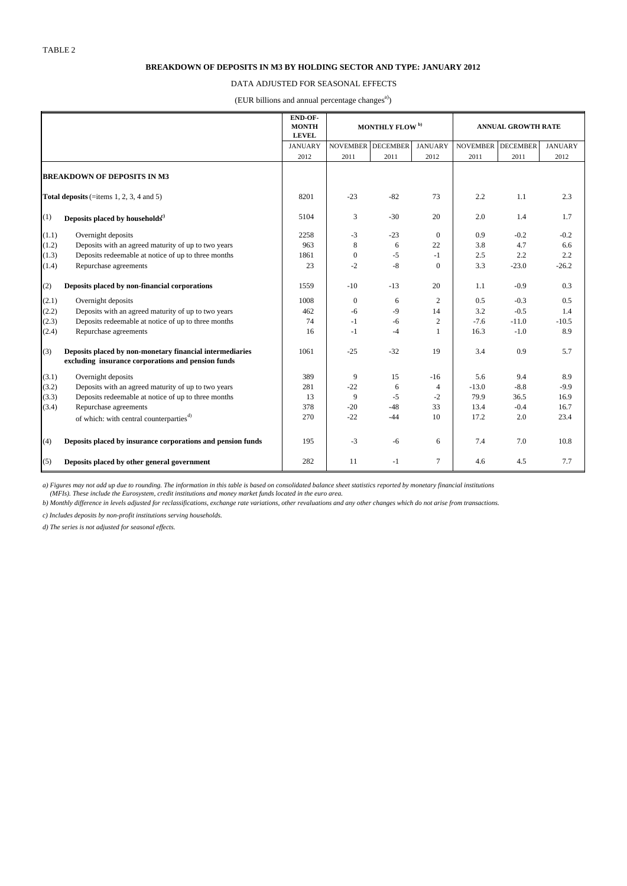#### **BREAKDOWN OF DEPOSITS IN M3 BY HOLDING SECTOR AND TYPE: JANUARY 2012**

### DATA ADJUSTED FOR SEASONAL EFFECTS

(EUR billions and annual percentage changes<sup>a)</sup>)

|                                    |                                                                                                                | <b>END OF-</b><br><b>MONTH</b><br><b>LEVEL</b> | <b>MONTHLY FLOW</b> <sup>b)</sup> |                   | <b>ANNUAL GROWTH RATE</b> |                   |         |                |
|------------------------------------|----------------------------------------------------------------------------------------------------------------|------------------------------------------------|-----------------------------------|-------------------|---------------------------|-------------------|---------|----------------|
|                                    |                                                                                                                | <b>JANUARY</b>                                 |                                   | NOVEMBER DECEMBER | <b>JANUARY</b>            | NOVEMBER DECEMBER |         | <b>JANUARY</b> |
|                                    |                                                                                                                | 2012                                           | 2011                              | 2011              | 2012                      | 2011              | 2011    | 2012           |
| <b>BREAKDOWN OF DEPOSITS IN M3</b> |                                                                                                                |                                                |                                   |                   |                           |                   |         |                |
|                                    | Total deposits (=items 1, 2, 3, 4 and 5)                                                                       | 8201                                           | $-23$                             | $-82$             | 73                        | 2.2               | 1.1     | 2.3            |
| (1)                                | Deposits placed by households <sup>c)</sup>                                                                    | 5104                                           | 3                                 | $-30$             | 20                        | 2.0               | 1.4     | 1.7            |
| (1.1)                              | Overnight deposits                                                                                             | 2258                                           | $-3$                              | $-23$             | $\mathbf{0}$              | 0.9               | $-0.2$  | $-0.2$         |
| (1.2)                              | Deposits with an agreed maturity of up to two years                                                            | 963                                            | 8                                 | 6                 | 22                        | 3.8               | 4.7     | 6.6            |
| (1.3)                              | Deposits redeemable at notice of up to three months                                                            | 1861                                           | $\mathbf{0}$                      | $-5$              | $-1$                      | 2.5               | 2.2     | 2.2            |
| (1.4)                              | Repurchase agreements                                                                                          | 23                                             | $-2$                              | $-8$              | $\mathbf{0}$              | 3.3               | $-23.0$ | $-26.2$        |
| (2)                                | Deposits placed by non-financial corporations                                                                  | 1559                                           | $-10$                             | $-13$             | 20                        | 1.1               | $-0.9$  | 0.3            |
| (2.1)                              | Overnight deposits                                                                                             | 1008                                           | $\mathbf{0}$                      | 6                 | 2                         | 0.5               | $-0.3$  | 0.5            |
| (2.2)                              | Deposits with an agreed maturity of up to two years                                                            | 462                                            | $-6$                              | $-9$              | 14                        | 3.2               | $-0.5$  | 1.4            |
| (2.3)                              | Deposits redeemable at notice of up to three months                                                            | 74                                             | $-1$                              | -6                | 2                         | $-7.6$            | $-11.0$ | $-10.5$        |
| (2.4)                              | Repurchase agreements                                                                                          | 16                                             | $-1$                              | $-4$              | 1                         | 16.3              | $-1.0$  | 8.9            |
| (3)                                | Deposits placed by non-monetary financial intermediaries<br>excluding insurance corporations and pension funds | 1061                                           | $-25$                             | $-32$             | 19                        | 3.4               | 0.9     | 5.7            |
| (3.1)                              | Overnight deposits                                                                                             | 389                                            | 9                                 | 15                | $-16$                     | 5.6               | 9.4     | 8.9            |
| (3.2)                              | Deposits with an agreed maturity of up to two years                                                            | 281                                            | $-22$                             | 6                 | 4                         | $-13.0$           | $-8.8$  | $-9.9$         |
| (3.3)                              | Deposits redeemable at notice of up to three months                                                            | 13                                             | 9                                 | $-5$              | $-2$                      | 79.9              | 36.5    | 16.9           |
| (3.4)                              | Repurchase agreements                                                                                          | 378                                            | $-20$                             | $-48$             | 33                        | 13.4              | $-0.4$  | 16.7           |
|                                    | of which: with central counterparties <sup>d)</sup>                                                            | 270                                            | $-22$                             | $-44$             | 10                        | 17.2              | 2.0     | 23.4           |
| (4)                                | Deposits placed by insurance corporations and pension funds                                                    | 195                                            | $-3$                              | $-6$              | 6                         | 7.4               | 7.0     | 10.8           |
| (5)                                | Deposits placed by other general government                                                                    | 282                                            | 11                                | $-1$              | 7                         | 4.6               | 4.5     | 7.7            |

a) Figures may not add up due to rounding. The information in this table is based on consolidated balance sheet statistics reported by monetary financial institutions<br>(MFIs). These include the Eurosystem, credit institutio

*b) Monthly difference in levels adjusted for reclassifications, exchange rate variations, other revaluations and any other changes which do not arise from transactions.*

*c) Includes deposits by non-profit institutions serving households.*

*d) The series is not adjusted for seasonal effects.*